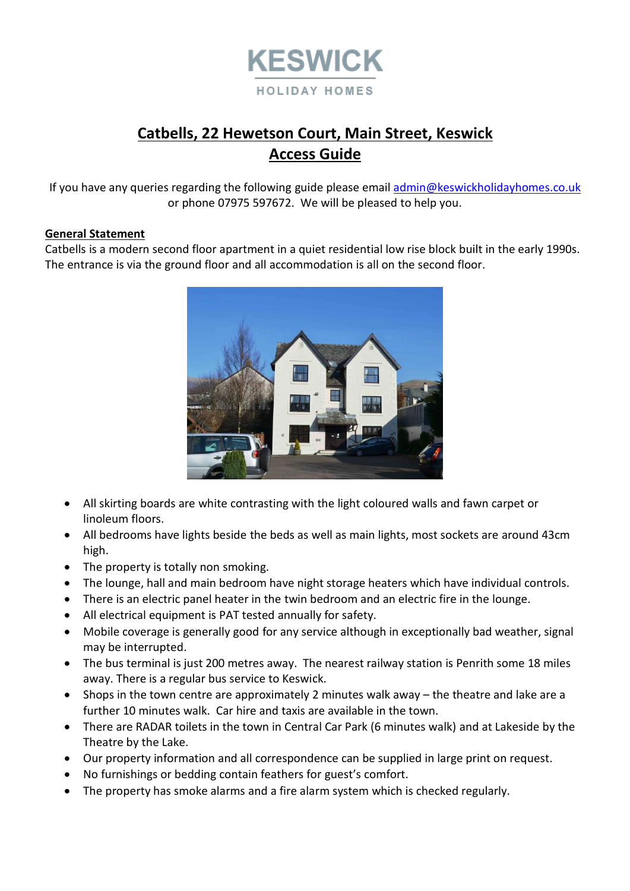

# **Catbells, 22 Hewetson Court, Main Street, Keswick Access Guide**

If you have any queries regarding the following guide please emai[l admin@keswickholidayhomes.co.uk](mailto:admin@keswickholidayhomes.co.uk) or phone 07975 597672. We will be pleased to help you.

### **General Statement**

Catbells is a modern second floor apartment in a quiet residential low rise block built in the early 1990s. The entrance is via the ground floor and all accommodation is all on the second floor.



- All skirting boards are white contrasting with the light coloured walls and fawn carpet or linoleum floors.
- All bedrooms have lights beside the beds as well as main lights, most sockets are around 43cm high.
- The property is totally non smoking.
- The lounge, hall and main bedroom have night storage heaters which have individual controls.
- There is an electric panel heater in the twin bedroom and an electric fire in the lounge.
- All electrical equipment is PAT tested annually for safety.
- Mobile coverage is generally good for any service although in exceptionally bad weather, signal may be interrupted.
- The bus terminal is just 200 metres away. The nearest railway station is Penrith some 18 miles away. There is a regular bus service to Keswick.
- Shops in the town centre are approximately 2 minutes walk away the theatre and lake are a further 10 minutes walk. Car hire and taxis are available in the town.
- There are RADAR toilets in the town in Central Car Park (6 minutes walk) and at Lakeside by the Theatre by the Lake.
- Our property information and all correspondence can be supplied in large print on request.
- No furnishings or bedding contain feathers for guest's comfort.
- The property has smoke alarms and a fire alarm system which is checked regularly.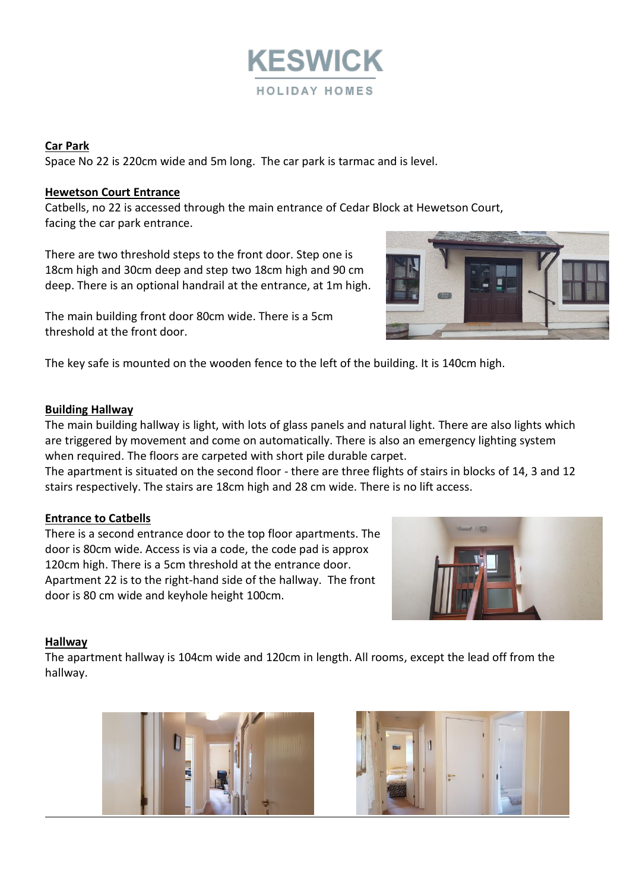

#### **Car Park**

Space No 22 is 220cm wide and 5m long. The car park is tarmac and is level.

#### **Hewetson Court Entrance**

Catbells, no 22 is accessed through the main entrance of Cedar Block at Hewetson Court, facing the car park entrance.

There are two threshold steps to the front door. Step one is 18cm high and 30cm deep and step two 18cm high and 90 cm deep. There is an optional handrail at the entrance, at 1m high.

The main building front door 80cm wide. There is a 5cm threshold at the front door.



The key safe is mounted on the wooden fence to the left of the building. It is 140cm high.

### **Building Hallway**

The main building hallway is light, with lots of glass panels and natural light. There are also lights which are triggered by movement and come on automatically. There is also an emergency lighting system when required. The floors are carpeted with short pile durable carpet.

The apartment is situated on the second floor - there are three flights of stairs in blocks of 14, 3 and 12 stairs respectively. The stairs are 18cm high and 28 cm wide. There is no lift access.

# **Entrance to Catbells**

There is a second entrance door to the top floor apartments. The door is 80cm wide. Access is via a code, the code pad is approx 120cm high. There is a 5cm threshold at the entrance door. Apartment 22 is to the right-hand side of the hallway. The front door is 80 cm wide and keyhole height 100cm.



# **Hallway**

The apartment hallway is 104cm wide and 120cm in length. All rooms, except the lead off from the hallway.



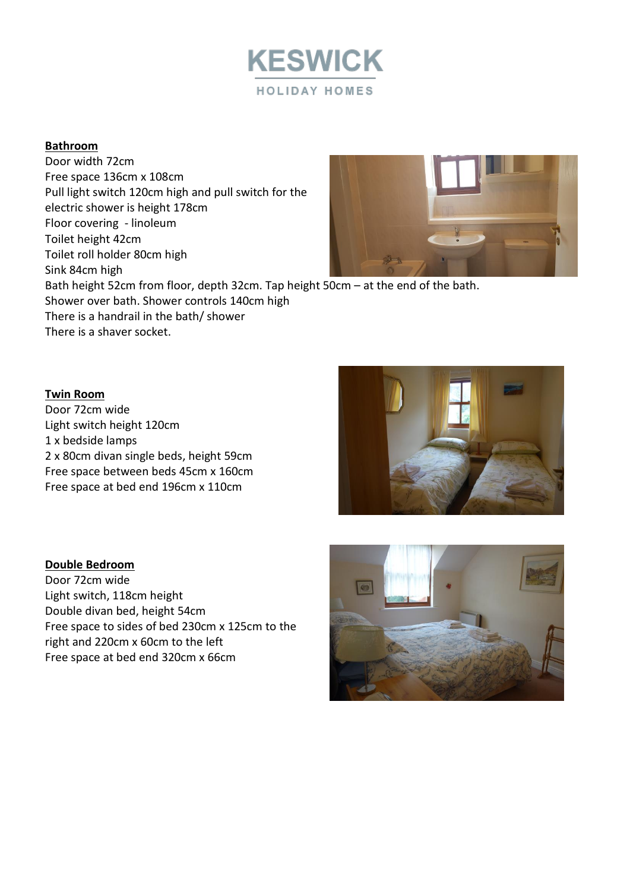

# **Bathroom**

Door width 72cm Free space 136cm x 108cm Pull light switch 120cm high and pull switch for the electric shower is height 178cm Floor covering - linoleum Toilet height 42cm Toilet roll holder 80cm high Sink 84cm high Bath height 52cm from floor, depth 32cm. Tap height 50cm – at the end of the bath. Shower over bath. Shower controls 140cm high There is a handrail in the bath/ shower There is a shaver socket.

#### **Twin Room**

Door 72cm wide Light switch height 120cm 1 x bedside lamps 2 x 80cm divan single beds, height 59cm Free space between beds 45cm x 160cm Free space at bed end 196cm x 110cm

#### **Double Bedroom**

Door 72cm wide Light switch, 118cm height Double divan bed, height 54cm Free space to sides of bed 230cm x 125cm to the right and 220cm x 60cm to the left Free space at bed end 320cm x 66cm